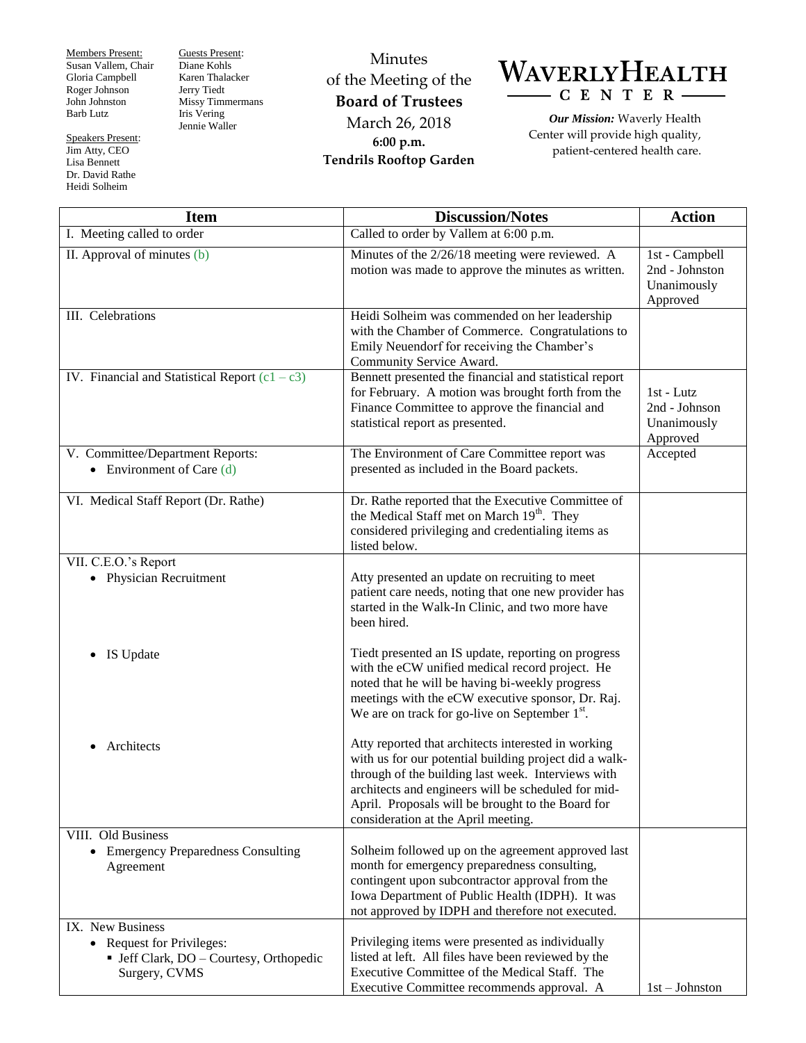Members Present: Susan Vallem, Chair Gloria Campbell Roger Johnson John Johnston Barb Lutz

Speakers Present: Jim Atty, CEO Lisa Bennett Dr. David Rathe Heidi Solheim

Guests Present: Diane Kohls Karen Thalacker Jerry Tiedt Missy Timmermans Iris Vering Jennie Waller

## Minutes of the Meeting of the **Board of Trustees** March 26, 2018 **6:00 p.m. Tendrils Rooftop Garden**



*Our Mission:* Waverly Health Center will provide high quality, patient-centered health care.

| <b>Item</b>                                                                                                                 | <b>Discussion/Notes</b>                                                                                                                                                                                                                                                                                                | <b>Action</b>                                               |
|-----------------------------------------------------------------------------------------------------------------------------|------------------------------------------------------------------------------------------------------------------------------------------------------------------------------------------------------------------------------------------------------------------------------------------------------------------------|-------------------------------------------------------------|
| I. Meeting called to order                                                                                                  | Called to order by Vallem at 6:00 p.m.                                                                                                                                                                                                                                                                                 |                                                             |
| II. Approval of minutes (b)                                                                                                 | Minutes of the 2/26/18 meeting were reviewed. A<br>motion was made to approve the minutes as written.                                                                                                                                                                                                                  | 1st - Campbell<br>2nd - Johnston<br>Unanimously<br>Approved |
| III. Celebrations                                                                                                           | Heidi Solheim was commended on her leadership<br>with the Chamber of Commerce. Congratulations to<br>Emily Neuendorf for receiving the Chamber's<br>Community Service Award.                                                                                                                                           |                                                             |
| IV. Financial and Statistical Report $(c1 - c3)$                                                                            | Bennett presented the financial and statistical report<br>for February. A motion was brought forth from the<br>Finance Committee to approve the financial and<br>statistical report as presented.                                                                                                                      | 1st - Lutz<br>2nd - Johnson<br>Unanimously<br>Approved      |
| V. Committee/Department Reports:<br>• Environment of Care $(d)$                                                             | The Environment of Care Committee report was<br>presented as included in the Board packets.                                                                                                                                                                                                                            | Accepted                                                    |
| VI. Medical Staff Report (Dr. Rathe)                                                                                        | Dr. Rathe reported that the Executive Committee of<br>the Medical Staff met on March 19 <sup>th</sup> . They<br>considered privileging and credentialing items as<br>listed below.                                                                                                                                     |                                                             |
| VII. C.E.O.'s Report<br>• Physician Recruitment                                                                             | Atty presented an update on recruiting to meet<br>patient care needs, noting that one new provider has<br>started in the Walk-In Clinic, and two more have<br>been hired.                                                                                                                                              |                                                             |
| IS Update                                                                                                                   | Tiedt presented an IS update, reporting on progress<br>with the eCW unified medical record project. He<br>noted that he will be having bi-weekly progress<br>meetings with the eCW executive sponsor, Dr. Raj.<br>We are on track for go-live on September $1st$ .                                                     |                                                             |
| Architects                                                                                                                  | Atty reported that architects interested in working<br>with us for our potential building project did a walk-<br>through of the building last week. Interviews with<br>architects and engineers will be scheduled for mid-<br>April. Proposals will be brought to the Board for<br>consideration at the April meeting. |                                                             |
| VIII. Old Business<br>• Emergency Preparedness Consulting<br>Agreement                                                      | Solheim followed up on the agreement approved last<br>month for emergency preparedness consulting,<br>contingent upon subcontractor approval from the<br>Iowa Department of Public Health (IDPH). It was<br>not approved by IDPH and therefore not executed.                                                           |                                                             |
| IX. New Business<br><b>Request for Privileges:</b><br>$\bullet$<br>• Jeff Clark, DO - Courtesy, Orthopedic<br>Surgery, CVMS | Privileging items were presented as individually<br>listed at left. All files have been reviewed by the<br>Executive Committee of the Medical Staff. The<br>Executive Committee recommends approval. A                                                                                                                 | $1st - Johnston$                                            |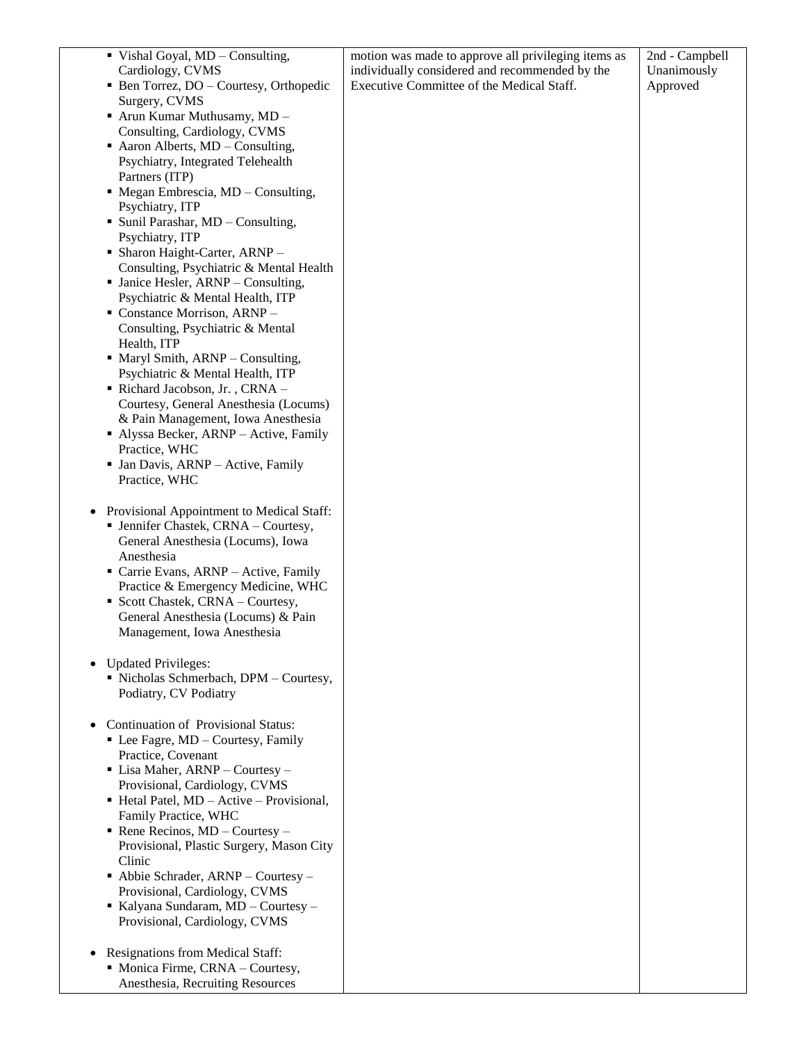| ■ Vishal Goyal, MD – Consulting,                                                               | motion was made to approve all privileging items as | 2nd - Campbell |
|------------------------------------------------------------------------------------------------|-----------------------------------------------------|----------------|
| Cardiology, CVMS                                                                               | individually considered and recommended by the      | Unanimously    |
| • Ben Torrez, DO – Courtesy, Orthopedic<br>Surgery, CVMS                                       | Executive Committee of the Medical Staff.           | Approved       |
| ■ Arun Kumar Muthusamy, MD -                                                                   |                                                     |                |
| Consulting, Cardiology, CVMS                                                                   |                                                     |                |
| Aaron Alberts, MD - Consulting,                                                                |                                                     |                |
| Psychiatry, Integrated Telehealth                                                              |                                                     |                |
| Partners (ITP)                                                                                 |                                                     |                |
| • Megan Embrescia, MD - Consulting,<br>Psychiatry, ITP                                         |                                                     |                |
| • Sunil Parashar, MD - Consulting,                                                             |                                                     |                |
| Psychiatry, ITP                                                                                |                                                     |                |
| • Sharon Haight-Carter, ARNP -                                                                 |                                                     |                |
| Consulting, Psychiatric & Mental Health                                                        |                                                     |                |
| • Janice Hesler, ARNP - Consulting,                                                            |                                                     |                |
| Psychiatric & Mental Health, ITP<br>• Constance Morrison, ARNP -                               |                                                     |                |
| Consulting, Psychiatric & Mental                                                               |                                                     |                |
| Health, ITP                                                                                    |                                                     |                |
| • Maryl Smith, ARNP - Consulting,                                                              |                                                     |                |
| Psychiatric & Mental Health, ITP                                                               |                                                     |                |
| Richard Jacobson, Jr., CRNA -                                                                  |                                                     |                |
| Courtesy, General Anesthesia (Locums)<br>& Pain Management, Iowa Anesthesia                    |                                                     |                |
| • Alyssa Becker, ARNP - Active, Family                                                         |                                                     |                |
| Practice, WHC                                                                                  |                                                     |                |
| • Jan Davis, ARNP - Active, Family                                                             |                                                     |                |
| Practice, WHC                                                                                  |                                                     |                |
|                                                                                                |                                                     |                |
| Provisional Appointment to Medical Staff:<br>$\bullet$<br>• Jennifer Chastek, CRNA - Courtesy, |                                                     |                |
| General Anesthesia (Locums), Iowa                                                              |                                                     |                |
| Anesthesia                                                                                     |                                                     |                |
| Carrie Evans, ARNP - Active, Family                                                            |                                                     |                |
| Practice & Emergency Medicine, WHC                                                             |                                                     |                |
| Scott Chastek, CRNA - Courtesy,<br>General Anesthesia (Locums) & Pain                          |                                                     |                |
| Management, Iowa Anesthesia                                                                    |                                                     |                |
|                                                                                                |                                                     |                |
| <b>Updated Privileges:</b>                                                                     |                                                     |                |
| Nicholas Schmerbach, DPM - Courtesy,                                                           |                                                     |                |
| Podiatry, CV Podiatry                                                                          |                                                     |                |
| Continuation of Provisional Status:                                                            |                                                     |                |
| • Lee Fagre, MD - Courtesy, Family                                                             |                                                     |                |
| Practice, Covenant                                                                             |                                                     |                |
| $\blacksquare$ Lisa Maher, ARNP – Courtesy –                                                   |                                                     |                |
| Provisional, Cardiology, CVMS<br>$\blacksquare$ Hetal Patel, MD – Active – Provisional,        |                                                     |                |
| Family Practice, WHC                                                                           |                                                     |                |
| Rene Recinos, $MD -$ Courtesy -                                                                |                                                     |                |
| Provisional, Plastic Surgery, Mason City                                                       |                                                     |                |
| Clinic                                                                                         |                                                     |                |
| Abbie Schrader, ARNP - Courtesy -                                                              |                                                     |                |
| Provisional, Cardiology, CVMS<br>Kalyana Sundaram, MD - Courtesy -                             |                                                     |                |
| Provisional, Cardiology, CVMS                                                                  |                                                     |                |
|                                                                                                |                                                     |                |
| Resignations from Medical Staff:                                                               |                                                     |                |
| • Monica Firme, CRNA - Courtesy,<br>Anesthesia, Recruiting Resources                           |                                                     |                |
|                                                                                                |                                                     |                |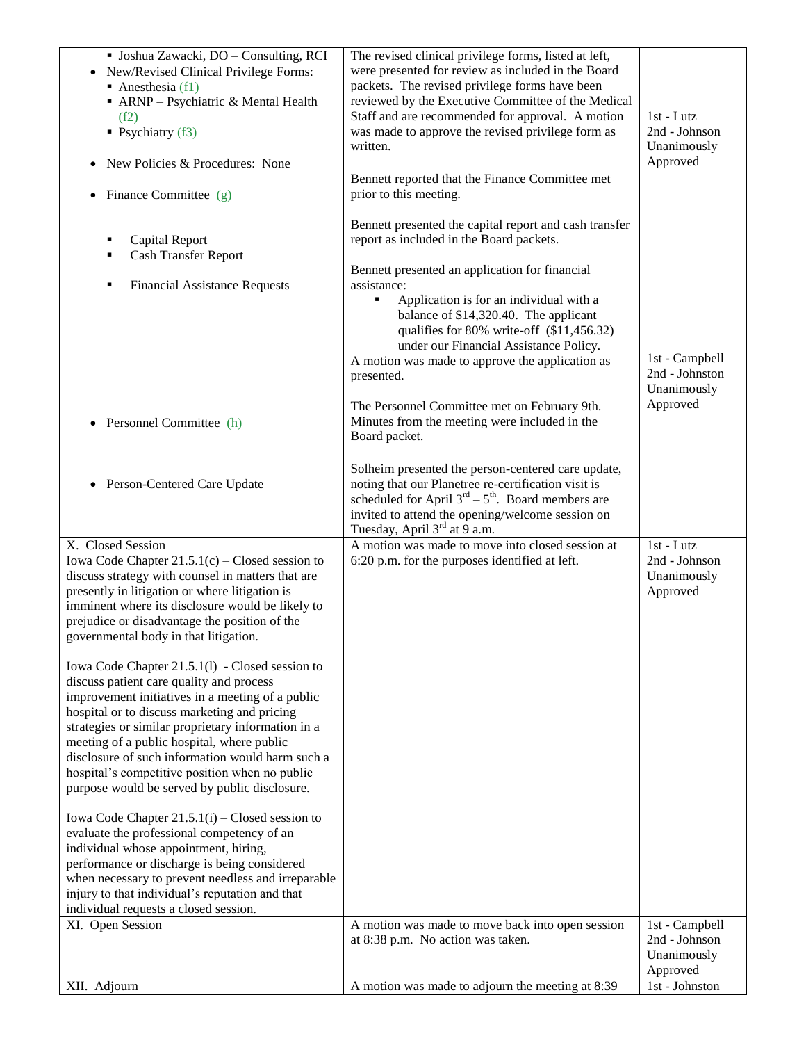| · Joshua Zawacki, DO - Consulting, RCI<br>• New/Revised Clinical Privilege Forms:<br>Anesthesia $(f1)$<br>• ARNP - Psychiatric & Mental Health<br>(f2)<br>$\blacksquare$ Psychiatry (f3)<br>New Policies & Procedures: None<br>Finance Committee (g)<br>$\bullet$                                                                                                                                                                                                                                                                                                                                                                                                                                                                                                                                                                                                                                                                                                                                                                                                                                                                       | The revised clinical privilege forms, listed at left,<br>were presented for review as included in the Board<br>packets. The revised privilege forms have been<br>reviewed by the Executive Committee of the Medical<br>Staff and are recommended for approval. A motion<br>was made to approve the revised privilege form as<br>written.<br>Bennett reported that the Finance Committee met<br>prior to this meeting.                                                                                                 | $1st$ - Lutz<br>2nd - Johnson<br>Unanimously<br>Approved    |
|-----------------------------------------------------------------------------------------------------------------------------------------------------------------------------------------------------------------------------------------------------------------------------------------------------------------------------------------------------------------------------------------------------------------------------------------------------------------------------------------------------------------------------------------------------------------------------------------------------------------------------------------------------------------------------------------------------------------------------------------------------------------------------------------------------------------------------------------------------------------------------------------------------------------------------------------------------------------------------------------------------------------------------------------------------------------------------------------------------------------------------------------|-----------------------------------------------------------------------------------------------------------------------------------------------------------------------------------------------------------------------------------------------------------------------------------------------------------------------------------------------------------------------------------------------------------------------------------------------------------------------------------------------------------------------|-------------------------------------------------------------|
| <b>Capital Report</b><br>п<br><b>Cash Transfer Report</b><br>٠<br><b>Financial Assistance Requests</b><br>٠<br>Personnel Committee (h)                                                                                                                                                                                                                                                                                                                                                                                                                                                                                                                                                                                                                                                                                                                                                                                                                                                                                                                                                                                                  | Bennett presented the capital report and cash transfer<br>report as included in the Board packets.<br>Bennett presented an application for financial<br>assistance:<br>Application is for an individual with a<br>٠<br>balance of \$14,320.40. The applicant<br>qualifies for 80% write-off (\$11,456.32)<br>under our Financial Assistance Policy.<br>A motion was made to approve the application as<br>presented.<br>The Personnel Committee met on February 9th.<br>Minutes from the meeting were included in the | 1st - Campbell<br>2nd - Johnston<br>Unanimously<br>Approved |
| Person-Centered Care Update<br>$\bullet$                                                                                                                                                                                                                                                                                                                                                                                                                                                                                                                                                                                                                                                                                                                                                                                                                                                                                                                                                                                                                                                                                                | Board packet.<br>Solheim presented the person-centered care update,<br>noting that our Planetree re-certification visit is<br>scheduled for April $3rd - 5th$ . Board members are<br>invited to attend the opening/welcome session on<br>Tuesday, April 3 <sup>rd</sup> at 9 a.m.                                                                                                                                                                                                                                     |                                                             |
| X. Closed Session<br>Iowa Code Chapter $21.5.1(c)$ – Closed session to<br>discuss strategy with counsel in matters that are<br>presently in litigation or where litigation is<br>imminent where its disclosure would be likely to<br>prejudice or disadvantage the position of the<br>governmental body in that litigation.<br>Iowa Code Chapter 21.5.1(1) - Closed session to<br>discuss patient care quality and process<br>improvement initiatives in a meeting of a public<br>hospital or to discuss marketing and pricing<br>strategies or similar proprietary information in a<br>meeting of a public hospital, where public<br>disclosure of such information would harm such a<br>hospital's competitive position when no public<br>purpose would be served by public disclosure.<br>Iowa Code Chapter $21.5.1(i)$ – Closed session to<br>evaluate the professional competency of an<br>individual whose appointment, hiring,<br>performance or discharge is being considered<br>when necessary to prevent needless and irreparable<br>injury to that individual's reputation and that<br>individual requests a closed session. | A motion was made to move into closed session at<br>6:20 p.m. for the purposes identified at left.                                                                                                                                                                                                                                                                                                                                                                                                                    | 1st - Lutz<br>2nd - Johnson<br>Unanimously<br>Approved      |
| XI. Open Session                                                                                                                                                                                                                                                                                                                                                                                                                                                                                                                                                                                                                                                                                                                                                                                                                                                                                                                                                                                                                                                                                                                        | A motion was made to move back into open session<br>at 8:38 p.m. No action was taken.                                                                                                                                                                                                                                                                                                                                                                                                                                 | 1st - Campbell<br>2nd - Johnson<br>Unanimously<br>Approved  |
| XII. Adjourn                                                                                                                                                                                                                                                                                                                                                                                                                                                                                                                                                                                                                                                                                                                                                                                                                                                                                                                                                                                                                                                                                                                            | A motion was made to adjourn the meeting at 8:39                                                                                                                                                                                                                                                                                                                                                                                                                                                                      | 1st - Johnston                                              |